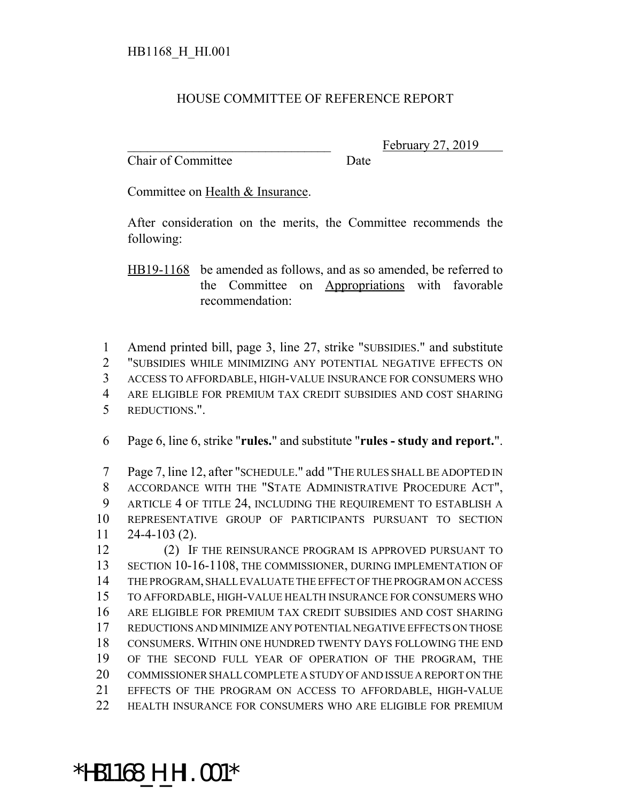## HOUSE COMMITTEE OF REFERENCE REPORT

Chair of Committee Date

\*HB1168\_H\_HI.001\*

February 27, 2019

Committee on Health & Insurance.

After consideration on the merits, the Committee recommends the following:

HB19-1168 be amended as follows, and as so amended, be referred to the Committee on Appropriations with favorable recommendation:

 Amend printed bill, page 3, line 27, strike "SUBSIDIES." and substitute "SUBSIDIES WHILE MINIMIZING ANY POTENTIAL NEGATIVE EFFECTS ON ACCESS TO AFFORDABLE, HIGH-VALUE INSURANCE FOR CONSUMERS WHO ARE ELIGIBLE FOR PREMIUM TAX CREDIT SUBSIDIES AND COST SHARING REDUCTIONS.".

Page 6, line 6, strike "**rules.**" and substitute "**rules - study and report.**".

 Page 7, line 12, after "SCHEDULE." add "THE RULES SHALL BE ADOPTED IN ACCORDANCE WITH THE "STATE ADMINISTRATIVE PROCEDURE ACT", ARTICLE 4 OF TITLE 24, INCLUDING THE REQUIREMENT TO ESTABLISH A REPRESENTATIVE GROUP OF PARTICIPANTS PURSUANT TO SECTION 24-4-103 (2).

12 (2) IF THE REINSURANCE PROGRAM IS APPROVED PURSUANT TO SECTION 10-16-1108, THE COMMISSIONER, DURING IMPLEMENTATION OF THE PROGRAM, SHALL EVALUATE THE EFFECT OF THE PROGRAM ON ACCESS TO AFFORDABLE, HIGH-VALUE HEALTH INSURANCE FOR CONSUMERS WHO ARE ELIGIBLE FOR PREMIUM TAX CREDIT SUBSIDIES AND COST SHARING REDUCTIONS AND MINIMIZE ANY POTENTIAL NEGATIVE EFFECTS ON THOSE CONSUMERS. WITHIN ONE HUNDRED TWENTY DAYS FOLLOWING THE END OF THE SECOND FULL YEAR OF OPERATION OF THE PROGRAM, THE COMMISSIONER SHALL COMPLETE A STUDY OF AND ISSUE A REPORT ON THE EFFECTS OF THE PROGRAM ON ACCESS TO AFFORDABLE, HIGH-VALUE HEALTH INSURANCE FOR CONSUMERS WHO ARE ELIGIBLE FOR PREMIUM